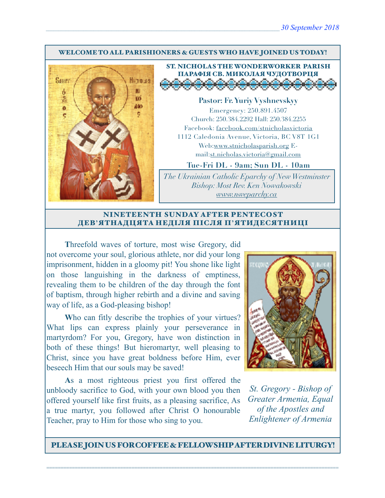#### WELCOME TO ALL PARISHIONERS & GUESTS WHO HAVE JOINED US TODAY!



ST. NICHOLAS THE WONDERWORKER PARISH ПАРАФІЯ СВ. МИКОЛАЯ ЧУДОТВОРЦЯ<br>Д<del>ООООООООООООО</del>

**Pastor: Fr. Yuriy Vyshnevskyy** Emergency: 250.891.4507 Church: 250.384.2292 Hall: 250.384.2255 Facebook: facebook.com/stnicholasvictoria 1112 Caledonia Avenue, Victoria, BC V8T 1G1 Web[:www.stnicholasparish.org](http://www.stnicholasparish.org) Email:[st.nicholas.victoria@gmail.com](mailto:st.nicholas.victoria@gmail.com)

**Tue-Fri DL - 9am; Sun DL - 10am**

*The Ukrainian Catholic Eparchy of New Westminster Bishop: Most Rev. Ken Nowakowski [www.nweparchy.ca](http://www.nweparchy.ca)*

#### NINETEENTH SUNDAY AFTER PENTECOST ДЕВ**'**ЯТНАДЦЯТА НЕДІЛЯ ПІСЛЯ П**'**ЯТИДЕСЯТНИЦІ

**T**hreefold waves of torture, most wise Gregory, did not overcome your soul, glorious athlete, nor did your long imprisonment, hidden in a gloomy pit! You shone like light on those languishing in the darkness of emptiness, revealing them to be children of the day through the font of baptism, through higher rebirth and a divine and saving way of life, as a God-pleasing bishop!

**W**ho can fitly describe the trophies of your virtues? What lips can express plainly your perseverance in martyrdom? For you, Gregory, have won distinction in both of these things! But hieromartyr, well pleasing to Christ, since you have great boldness before Him, ever beseech Him that our souls may be saved!

**A**s a most righteous priest you first offered the unbloody sacrifice to God, with your own blood you then offered yourself like first fruits, as a pleasing sacrifice, As a true martyr, you followed after Christ O honourable Teacher, pray to Him for those who sing to you.



*St. Gregory - Bishop of Greater Armenia, Equal of the Apostles and Enlightener of Armenia*

PLEASE JOIN US FOR COFFEE & FELLOWSHIP AFTER DIVINE LITURGY!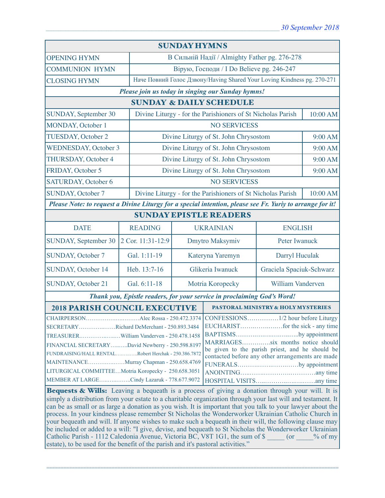| <b>SUNDAY HYMNS</b>                                                                                                    |                                                                         |                                                                         |                                           |                                                                                      |                |                          |  |
|------------------------------------------------------------------------------------------------------------------------|-------------------------------------------------------------------------|-------------------------------------------------------------------------|-------------------------------------------|--------------------------------------------------------------------------------------|----------------|--------------------------|--|
| <b>OPENING HYMN</b>                                                                                                    |                                                                         |                                                                         |                                           | В Сильній Надії / Almighty Father pg. 276-278                                        |                |                          |  |
| <b>COMMUNION HYMN</b>                                                                                                  |                                                                         |                                                                         | Вірую, Господи / I Do Believe pg. 246-247 |                                                                                      |                |                          |  |
| <b>CLOSING HYMN</b>                                                                                                    |                                                                         | Наче Повний Голос Дзвону/Having Shared Your Loving Kindness pg. 270-271 |                                           |                                                                                      |                |                          |  |
|                                                                                                                        |                                                                         |                                                                         |                                           | Please join us today in singing our Sunday hymns!                                    |                |                          |  |
|                                                                                                                        |                                                                         |                                                                         |                                           | <b>SUNDAY &amp; DAILY SCHEDULE</b>                                                   |                |                          |  |
| SUNDAY, September 30                                                                                                   | Divine Liturgy - for the Parishioners of St Nicholas Parish             |                                                                         |                                           | 10:00 AM                                                                             |                |                          |  |
| MONDAY, October 1                                                                                                      |                                                                         |                                                                         |                                           | <b>NO SERVICESS</b>                                                                  |                |                          |  |
| <b>TUESDAY, October 2</b>                                                                                              |                                                                         | Divine Liturgy of St. John Chrysostom                                   |                                           |                                                                                      |                | 9:00 AM                  |  |
| <b>WEDNESDAY, October 3</b>                                                                                            |                                                                         |                                                                         |                                           | Divine Liturgy of St. John Chrysostom                                                |                |                          |  |
| THURSDAY, October 4                                                                                                    |                                                                         |                                                                         |                                           | Divine Liturgy of St. John Chrysostom                                                |                | 9:00 AM                  |  |
| FRIDAY, October 5                                                                                                      |                                                                         |                                                                         |                                           | Divine Liturgy of St. John Chrysostom                                                |                | 9:00 AM                  |  |
| SATURDAY, October 6                                                                                                    |                                                                         |                                                                         |                                           | <b>NO SERVICESS</b>                                                                  |                |                          |  |
| <b>SUNDAY, October 7</b>                                                                                               | Divine Liturgy - for the Parishioners of St Nicholas Parish<br>10:00 AM |                                                                         |                                           |                                                                                      |                |                          |  |
| Please Note: to request a Divine Liturgy for a special intention, please see Fr. Yuriy to arrange for it!              |                                                                         |                                                                         |                                           |                                                                                      |                |                          |  |
|                                                                                                                        |                                                                         |                                                                         |                                           | <b>SUNDAY EPISTLE READERS</b>                                                        |                |                          |  |
| <b>DATE</b>                                                                                                            | <b>READING</b>                                                          |                                                                         | <b>UKRAINIAN</b>                          |                                                                                      | <b>ENGLISH</b> |                          |  |
| SUNDAY, September 30                                                                                                   |                                                                         | 2 Cor. 11:31-12:9                                                       |                                           | Dmytro Maksymiv                                                                      |                | Peter Iwanuck            |  |
| SUNDAY, October 7                                                                                                      | Gal. 1:11-19                                                            |                                                                         | Kateryna Yaremyn                          |                                                                                      | Darryl Huculak |                          |  |
| SUNDAY, October 14                                                                                                     |                                                                         | Heb. 13:7-16                                                            |                                           | Glikeria Iwanuck                                                                     |                | Graciela Spaciuk-Schwarz |  |
| <b>SUNDAY, October 21</b>                                                                                              |                                                                         | Gal. 6:11-18                                                            |                                           | Motria Koropecky                                                                     |                | William Vanderven        |  |
|                                                                                                                        |                                                                         |                                                                         |                                           | Thank you, Epistle readers, for your service in proclaiming God's Word!              |                |                          |  |
| <b>2018 PARISH COUNCIL EXECUTIVE</b><br>PASTORAL MINISTRY & HOLY MYSTERIES                                             |                                                                         |                                                                         |                                           |                                                                                      |                |                          |  |
| CHAIRPERSONAlec Rossa - 250.472.3374 CONFESSIONS1/2 hour before Liturgy                                                |                                                                         |                                                                         |                                           |                                                                                      |                |                          |  |
| SECRETARYRichard DeMerchant - 250.893.3484                                                                             |                                                                         |                                                                         |                                           | BAPTISMSby appointment                                                               |                |                          |  |
|                                                                                                                        |                                                                         |                                                                         |                                           |                                                                                      |                |                          |  |
| FINANCIAL SECRETARYDavid Newberry - 250.598.8197                                                                       |                                                                         |                                                                         |                                           | MARRIAGESsix months notice should<br>be given to the parish priest, and he should be |                |                          |  |
| FUNDRAISING/HALL RENTALRobert Herchak - 250.386.7872                                                                   |                                                                         |                                                                         |                                           |                                                                                      |                |                          |  |
| contacted before any other arrangements are made<br>MAINTENANCEMurray Chapman - 250.658.4769<br>FUNERALSby appointment |                                                                         |                                                                         |                                           |                                                                                      |                |                          |  |
| LITURGICAL COMMITTEEMotria Koropecky - 250.658.3051                                                                    |                                                                         |                                                                         |                                           |                                                                                      |                |                          |  |
| MEMBER AT LARGECindy Lazaruk - 778.677.9072                                                                            |                                                                         |                                                                         |                                           |                                                                                      |                |                          |  |
| <b>Bequests &amp; Wills:</b> Leaving a bequeath is a process of giving a donation through your will. It is             |                                                                         |                                                                         |                                           |                                                                                      |                |                          |  |
| simply a distribution from your estate to a charitable organization through your last will and testament. It           |                                                                         |                                                                         |                                           |                                                                                      |                |                          |  |
| can be as small or as large a donation as you wish. It is important that you talk to your lawyer about the             |                                                                         |                                                                         |                                           |                                                                                      |                |                          |  |
| process. In your kindness please remember St Nicholas the Wonderworker Ukrainian Catholic Church in                    |                                                                         |                                                                         |                                           |                                                                                      |                |                          |  |
| your bequeath and will. If anyone wishes to make such a bequeath in their will, the following clause may               |                                                                         |                                                                         |                                           |                                                                                      |                |                          |  |
| be included or added to a will: "I give, devise, and bequeath to St Nicholas the Wonderworker Ukrainian                |                                                                         |                                                                         |                                           |                                                                                      |                |                          |  |
| Catholic Parish - 1112 Caledonia Avenue, Victoria BC, V8T 1G1, the sum of \$ (or % of my                               |                                                                         |                                                                         |                                           |                                                                                      |                |                          |  |
| estate), to be used for the benefit of the parish and it's pastoral activities."                                       |                                                                         |                                                                         |                                           |                                                                                      |                |                          |  |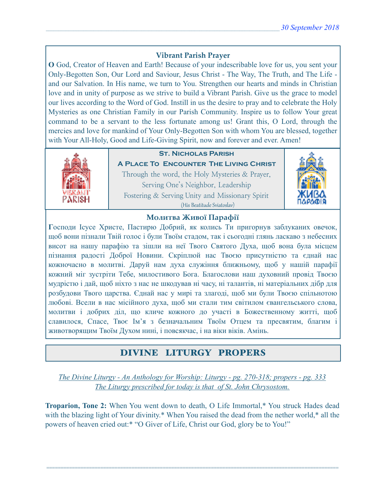## **Vibrant Parish Prayer**

**O** God, Creator of Heaven and Earth! Because of your indescribable love for us, you sent your Only-Begotten Son, Our Lord and Saviour, Jesus Christ - The Way, The Truth, and The Life and our Salvation. In His name, we turn to You. Strengthen our hearts and minds in Christian love and in unity of purpose as we strive to build a Vibrant Parish. Give us the grace to model our lives according to the Word of God. Instill in us the desire to pray and to celebrate the Holy Mysteries as one Christian Family in our Parish Community. Inspire us to follow Your great command to be a servant to the less fortunate among us! Grant this, O Lord, through the mercies and love for mankind of Your Only-Begotten Son with whom You are blessed, together with Your All-Holy, Good and Life-Giving Spirit, now and forever and ever. Amen!



## **St. Nicholas Parish**

**A Place To Encounter The Living Christ** Through the word, the Holy Mysteries & Prayer, Serving One's Neighbor, Leadership Fostering & Serving Unity and Missionary Spirit (His Beatitude Sviatoslav)



### **Молитва Живої Парафії**

**Г**осподи Ісусе Христе, Пастирю Добрий, як колись Ти пригорнув заблуканих овечок, щоб вони пізнали Твій голос і були Твоїм стадом, так і сьогодні глянь ласкаво з небесних висот на нашу парафію та зішли на неї Твого Святого Духа, щоб вона була місцем пізнання радості Доброї Новини. Скріплюй нас Твоєю присутністю та єднай нас кожночасно в молитві. Даруй нам духа служіння ближньому, щоб у нашій парафії кожний міг зустріти Тебе, милостивого Бога. Благослови наш духовний провід Твоєю мудрістю і дай, щоб ніхто з нас не шкодував ні часу, ні талантів, ні матеріальних дібр для розбудови Твого царства. Єднай нас у мирі та злагоді, щоб ми були Твоєю спільнотою любові. Всели в нас місійного духа, щоб ми стали тим світилом євангельського слова, молитви і добрих діл, що кличе кожного до участі в Божественному житті, щоб славилося, Спасе, Твоє Ім'я з безначальним Твоїм Отцем та пресвятим, благим і животворящим Твоїм Духом нині, і повсякчас, і на віки віків. Амінь.

# DIVINE LITURGY PROPERS

*The Divine Liturgy - An Anthology for Worship: Liturgy - pg. 270-318; propers - pg. 333 The Liturgy prescribed for today is that of St. John Chrysostom.* 

**Troparion, Tone 2:** When You went down to death, O Life Immortal,\* You struck Hades dead with the blazing light of Your divinity.\* When You raised the dead from the nether world,\* all the powers of heaven cried out:\* "O Giver of Life, Christ our God, glory be to You!"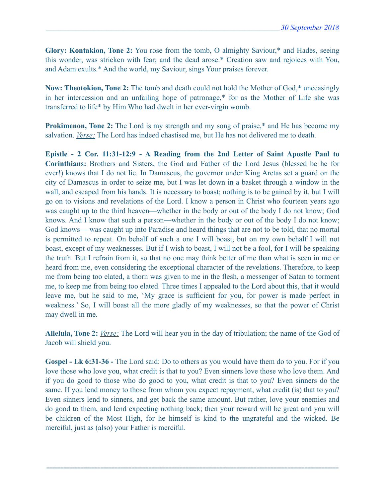**Glory: Kontakion, Tone 2:** You rose from the tomb, O almighty Saviour,\* and Hades, seeing this wonder, was stricken with fear; and the dead arose.\* Creation saw and rejoices with You, and Adam exults.\* And the world, my Saviour, sings Your praises forever.

**Now: Theotokion, Tone 2:** The tomb and death could not hold the Mother of God,\* unceasingly in her intercession and an unfailing hope of patronage,\* for as the Mother of Life she was transferred to life\* by Him Who had dwelt in her ever-virgin womb.

**Prokimenon, Tone 2:** The Lord is my strength and my song of praise,\* and He has become my salvation. *Verse:* The Lord has indeed chastised me, but He has not delivered me to death.

**Epistle - 2 Cor. 11:31-12:9 - A Reading from the 2nd Letter of Saint Apostle Paul to Corinthians:** Brothers and Sisters, the God and Father of the Lord Jesus (blessed be he for ever!) knows that I do not lie. In Damascus, the governor under King Aretas set a guard on the city of Damascus in order to seize me, but I was let down in a basket through a window in the wall, and escaped from his hands. It is necessary to boast; nothing is to be gained by it, but I will go on to visions and revelations of the Lord. I know a person in Christ who fourteen years ago was caught up to the third heaven—whether in the body or out of the body I do not know; God knows. And I know that such a person—whether in the body or out of the body I do not know; God knows— was caught up into Paradise and heard things that are not to be told, that no mortal is permitted to repeat. On behalf of such a one I will boast, but on my own behalf I will not boast, except of my weaknesses. But if I wish to boast, I will not be a fool, for I will be speaking the truth. But I refrain from it, so that no one may think better of me than what is seen in me or heard from me, even considering the exceptional character of the revelations. Therefore, to keep me from being too elated, a thorn was given to me in the flesh, a messenger of Satan to torment me, to keep me from being too elated. Three times I appealed to the Lord about this, that it would leave me, but he said to me, 'My grace is sufficient for you, for power is made perfect in weakness.' So, I will boast all the more gladly of my weaknesses, so that the power of Christ may dwell in me.

**Alleluia, Tone 2:** *Verse:* The Lord will hear you in the day of tribulation; the name of the God of Jacob will shield you.

**Gospel - Lk 6:31-36 -** The Lord said: Do to others as you would have them do to you. For if you love those who love you, what credit is that to you? Even sinners love those who love them. And if you do good to those who do good to you, what credit is that to you? Even sinners do the same. If you lend money to those from whom you expect repayment, what credit (is) that to you? Even sinners lend to sinners, and get back the same amount. But rather, love your enemies and do good to them, and lend expecting nothing back; then your reward will be great and you will be children of the Most High, for he himself is kind to the ungrateful and the wicked. Be merciful, just as (also) your Father is merciful.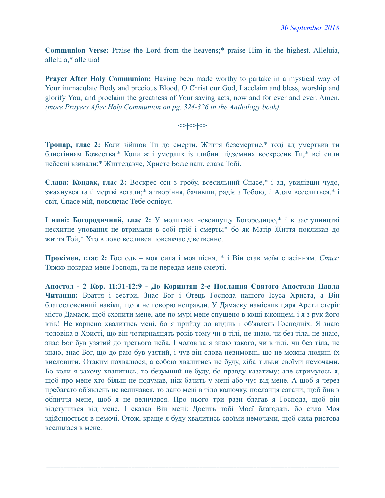**Communion Verse:** Praise the Lord from the heavens;\* praise Him in the highest. Alleluia, alleluia,\* alleluia!

**Prayer After Holy Communion:** Having been made worthy to partake in a mystical way of Your immaculate Body and precious Blood, O Christ our God, I acclaim and bless, worship and glorify You, and proclaim the greatness of Your saving acts, now and for ever and ever. Amen. *(more Prayers After Holy Communion on pg. 324-326 in the Anthology book).* 

#### $\langle$

**Тропар, глас 2:** Коли зійшов Ти до смерти, Життя безсмертне,\* тоді ад умертвив ти блистінням Божества.\* Коли ж і умерлих із глибин підземних воскресив Ти,\* всі сили небесні взивали:\* Життедавче, Христе Боже наш, слава Тобі.

**Слава: Кондак, глас 2:** Воскрес єси з гробу, всесильний Спасе,\* і ад, увидівши чудо, зжахнувся та й мертві встали;\* а творіння, бачивши, радіє з Тобою, й Адам веселиться,\* і світ, Спасе мій, повсякчас Тебе оспівує.

**І нині: Богородичний, глас 2:** У молитвах невсипущу Богородицю,\* і в заступництві несхитне уповання не втримали в собі гріб і смерть;\* бо як Матір Життя покликав до життя Той,\* Хто в лоно вселився повсякчас дівственне.

**Прокімен, глас 2:** Господь – моя сила і моя пісня, \* і Він став моїм спасінням. *Стих:* Тяжко покарав мене Господь, та не передав мене смерті.

**Апостол - 2 Кор. 11:31-12:9 - До Коринтян 2-е Послання Святого Апостола Павла Читання:** Браття і сестри, Знає Бог і Отець Господа нашого Ісуса Христа, а Він благословенний навіки, що я не говорю неправди. У Дамаску намісник царя Арети стеріг місто Дамаск, щоб схопити мене, але по мурі мене спущено в коші віконцем, і я з рук його втік! Не корисно хвалитись мені, бо я прийду до видінь і об'явлень Господніх. Я знаю чоловіка в Христі, що він чотирнадцять років тому чи в тілі, не знаю, чи без тіла, не знаю, знає Бог був узятий до третього неба. І чоловіка я знаю такого, чи в тілі, чи без тіла, не знаю, знає Бог, що до раю був узятий, і чув він слова невимовні, що не можна людині їх висловити. Отаким похвалюся, а собою хвалитись не буду, хіба тільки своїми немочами. Бо коли я захочу хвалитись, то безумний не буду, бо правду казатиму; але стримуюсь я, щоб про мене хто більш не подумав, ніж бачить у мені або чує від мене. А щоб я через пребагато об'явлень не величався, то дано мені в тіло колючку, посланця сатани, щоб бив в обличчя мене, щоб я не величався. Про нього три рази благав я Господа, щоб він відступився від мене. І сказав Він мені: Досить тобі Моєї благодаті, бо сила Моя здійснюється в немочі. Отож, краще я буду хвалитись своїми немочами, щоб сила ристова вселилася в мене.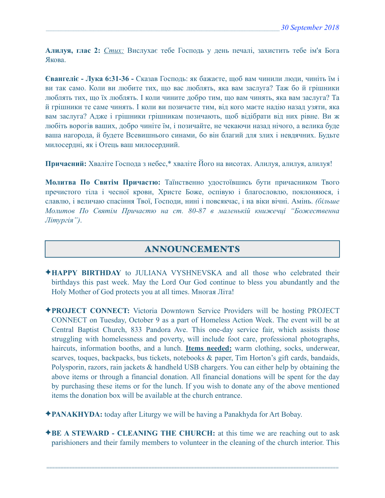**Алилуя, глас 2:** *Стих:* Вислухає тебе Господь у день печалі, захистить тебе ім'я Бога Якова.

**Євангеліє - Лука 6:31-36 -** Сказав Господь: як бажаєте, щоб вам чинили люди, чиніть їм і ви так само. Коли ви любите тих, що вас люблять, яка вам заслуга? Таж бо й грішники люблять тих, що їх люблять. І коли чините добро тим, що вам чинять, яка вам заслуга? Та й грішники те саме чинять. І коли ви позичаєте тим, від кого маєте надію назад узяти, яка вам заслуга? Адже і грішники грішникам позичають, щоб відібрати від них рівне. Ви ж любіть ворогів ваших, добро чиніте їм, і позичайте, не чекаючи назад нічого, а велика буде ваша нагорода, й будете Всевишнього синами, бо він благий для злих і невдячних. Будьте милосердні, як і Отець ваш милосердний.

**Причасний:** Хваліте Господа з небес,\* хваліте Його на висотах. Алилуя, алилуя, алилуя!

**Молитва По Святім Причастю:** Таїнственно удостоївшись бути причасником Твого пречистого тіла і чесної крови, Христе Боже, оспівую і благословлю, поклоняюся, і славлю, і величаю спасіння Твої, Господи, нині і повсякчас, і на віки вічні. Амінь. *(більше Молитов По Святім Причастю на ст. 80-87 в маленькій книжечці "Божественна Літургія")*.

## ANNOUNCEMENTS

- ✦**HAPPY BIRTHDAY** to JULIANA VYSHNEVSKA and all those who celebrated their birthdays this past week. May the Lord Our God continue to bless you abundantly and the Holy Mother of God protects you at all times. Многая Літа!
- ✦**PROJECT CONNECT:** Victoria Downtown Service Providers will be hosting PROJECT CONNECT on Tuesday, October 9 as a part of Homeless Action Week. The event will be at Central Baptist Church, 833 Pandora Ave. This one-day service fair, which assists those struggling with homelessness and poverty, will include foot care, professional photographs, haircuts, information booths, and a lunch. **Items needed:** warm clothing, socks, underwear, scarves, toques, backpacks, bus tickets, notebooks & paper, Tim Horton's gift cards, bandaids, Polysporin, razors, rain jackets & handheld USB chargers. You can either help by obtaining the above items or through a financial donation. All financial donations will be spent for the day by purchasing these items or for the lunch. If you wish to donate any of the above mentioned items the donation box will be available at the church entrance.
- ✦**PANAKHYDA:** today after Liturgy we will be having a Panakhyda for Art Bobay.
- ✦**BE A STEWARD CLEANING THE CHURCH:** at this time we are reaching out to ask parishioners and their family members to volunteer in the cleaning of the church interior. This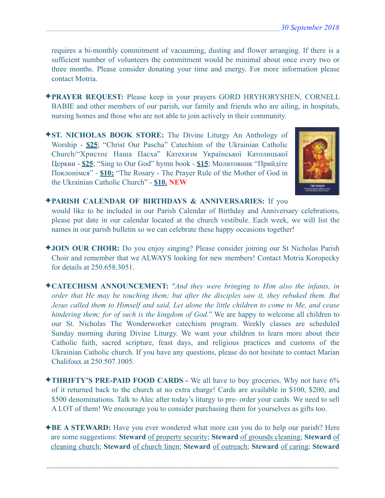requires a bi-monthly commitment of vacuuming, dusting and flower arranging. If there is a sufficient number of volunteers the commitment would be minimal about once every two or three months. Please consider donating your time and energy. For more information please contact Motria.

- ✦**PRAYER REQUEST:** Please keep in your prayers GORD HRYHORYSHEN, CORNELL BABIE and other members of our parish, our family and friends who are ailing, in hospitals, nursing homes and those who are not able to join actively in their community.
- ✦**ST. NICHOLAS BOOK STORE:** The Divine Liturgy An Anthology of Worship - **\$25**; "Christ Our Pascha" Catechism of the Ukrainian Catholic Church/"Христос Наша Пасха" Катехизм Української Католицької Церкви - **\$25**; "Sing to Our God" hymn book - **\$15**; Молитовник "Прийдіте Поклонімся" - **\$10;** "The Rosary - The Prayer Rule of the Mother of God in the Ukrainian Catholic Church" - **\$10. NEW**



#### ✦**PARISH CALENDAR OF BIRTHDAYS & ANNIVERSARIES:** If you

would like to be included in our Parish Calendar of Birthday and Anniversary celebrations, please put date in our calendar located at the church vestibule. Each week, we will list the names in our parish bulletin so we can celebrate these happy occasions together!

- ✦**JOIN OUR CHOIR:** Do you enjoy singing? Please consider joining our St Nicholas Parish Choir and remember that we ALWAYS looking for new members! Contact Motria Koropecky for details at 250.658.3051.
- ✦**CATECHISM ANNOUNCEMENT:** "*And they were bringing to Him also the infants, in order that He may be touching them; but after the disciples saw it, they rebuked them. But Jesus called them to Himself and said, Let alone the little children to come to Me, and cease hindering them; for of such is the kingdom of God*." We are happy to welcome all children to our St. Nicholas The Wonderworker catechism program. Weekly classes are scheduled Sunday morning during Divine Liturgy. We want your children to learn more about their Catholic faith, sacred scripture, feast days, and religious practices and customs of the Ukrainian Catholic church. If you have any questions, please do not hesitate to contact Marian Chalifoux at 250.507.1005.
- ✦**THRIFTY'S PRE-PAID FOOD CARDS** We all have to buy groceries. Why not have 6% of it returned back to the church at no extra charge! Cards are available in \$100, \$200, and \$500 denominations. Talk to Alec after today's liturgy to pre- order your cards. We need to sell A LOT of them! We encourage you to consider purchasing them for yourselves as gifts too.
- ✦**BE A STEWARD:** Have you ever wondered what more can you do to help our parish? Here are some suggestions: **Steward** of property security; **Steward** of grounds cleaning; **Steward** of cleaning church; **Steward** of church linen; **Steward** of outreach; **Steward** of caring; **Steward**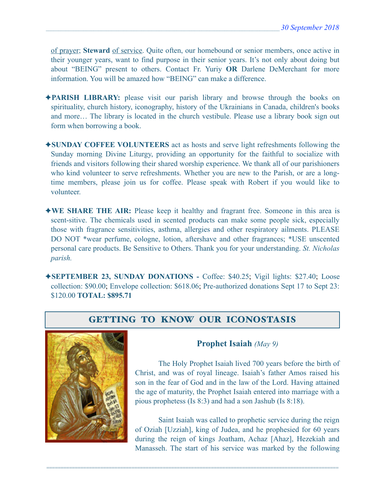of prayer; **Steward** of service. Quite often, our homebound or senior members, once active in their younger years, want to find purpose in their senior years. It's not only about doing but about "BEING" present to others. Contact Fr. Yuriy **OR** Darlene DeMerchant for more information. You will be amazed how "BEING" can make a difference.

- ✦**PARISH LIBRARY:** please visit our parish library and browse through the books on spirituality, church history, iconography, history of the Ukrainians in Canada, children's books and more… The library is located in the church vestibule. Please use a library book sign out form when borrowing a book.
- ✦**SUNDAY COFFEE VOLUNTEERS** act as hosts and serve light refreshments following the Sunday morning Divine Liturgy, providing an opportunity for the faithful to socialize with friends and visitors following their shared worship experience. We thank all of our parishioners who kind volunteer to serve refreshments. Whether you are new to the Parish, or are a longtime members, please join us for coffee. Please speak with Robert if you would like to volunteer.
- ✦**WE SHARE THE AIR:** Please keep it healthy and fragrant free. Someone in this area is scent-sitive. The chemicals used in scented products can make some people sick, especially those with fragrance sensitivities, asthma, allergies and other respiratory ailments. PLEASE DO NOT \*wear perfume, cologne, lotion, aftershave and other fragrances; \*USE unscented personal care products. Be Sensitive to Others. Thank you for your understanding. *St. Nicholas parish.*

✦**SEPTEMBER 23, SUNDAY DONATIONS -** Coffee: \$40.25; Vigil lights: \$27.40; Loose collection: \$90.00; Envelope collection: \$618.06; Pre-authorized donations Sept 17 to Sept 23: \$120.00 **TOTAL: \$895.71**

# GETTING TO KNOW OUR ICONOSTASIS

=======================================================================================================



## **Prophet Isaiah** *(May 9)*

 The Holy Prophet Isaiah lived 700 years before the birth of Christ, and was of royal lineage. Isaiah's father Amos raised his son in the fear of God and in the law of the Lord. Having attained the age of maturity, the Prophet Isaiah entered into marriage with a pious prophetess (Is 8:3) and had a son Jashub (Is 8:18).

 Saint Isaiah was called to prophetic service during the reign of Oziah [Uzziah], king of Judea, and he prophesied for 60 years during the reign of kings Joatham, Achaz [Ahaz], Hezekiah and Manasseh. The start of his service was marked by the following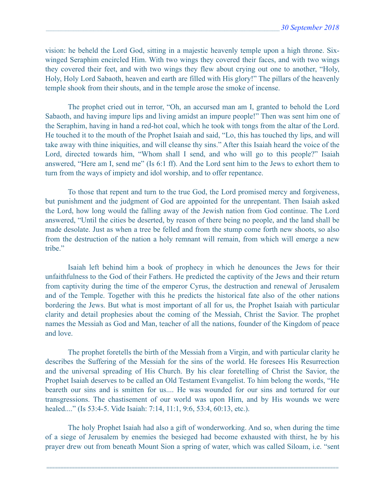vision: he beheld the Lord God, sitting in a majestic heavenly temple upon a high throne. Sixwinged Seraphim encircled Him. With two wings they covered their faces, and with two wings they covered their feet, and with two wings they flew about crying out one to another, "Holy, Holy, Holy Lord Sabaoth, heaven and earth are filled with His glory!" The pillars of the heavenly temple shook from their shouts, and in the temple arose the smoke of incense.

The prophet cried out in terror, "Oh, an accursed man am I, granted to behold the Lord Sabaoth, and having impure lips and living amidst an impure people!" Then was sent him one of the Seraphim, having in hand a red-hot coal, which he took with tongs from the altar of the Lord. He touched it to the mouth of the Prophet Isaiah and said, "Lo, this has touched thy lips, and will take away with thine iniquities, and will cleanse thy sins." After this Isaiah heard the voice of the Lord, directed towards him, "Whom shall I send, and who will go to this people?" Isaiah answered, "Here am I, send me" (Is 6:1 ff). And the Lord sent him to the Jews to exhort them to turn from the ways of impiety and idol worship, and to offer repentance.

To those that repent and turn to the true God, the Lord promised mercy and forgiveness, but punishment and the judgment of God are appointed for the unrepentant. Then Isaiah asked the Lord, how long would the falling away of the Jewish nation from God continue. The Lord answered, "Until the cities be deserted, by reason of there being no people, and the land shall be made desolate. Just as when a tree be felled and from the stump come forth new shoots, so also from the destruction of the nation a holy remnant will remain, from which will emerge a new tribe."

Isaiah left behind him a book of prophecy in which he denounces the Jews for their unfaithfulness to the God of their Fathers. He predicted the captivity of the Jews and their return from captivity during the time of the emperor Cyrus, the destruction and renewal of Jerusalem and of the Temple. Together with this he predicts the historical fate also of the other nations bordering the Jews. But what is most important of all for us, the Prophet Isaiah with particular clarity and detail prophesies about the coming of the Messiah, Christ the Savior. The prophet names the Messiah as God and Man, teacher of all the nations, founder of the Kingdom of peace and love.

The prophet foretells the birth of the Messiah from a Virgin, and with particular clarity he describes the Suffering of the Messiah for the sins of the world. He foresees His Resurrection and the universal spreading of His Church. By his clear foretelling of Christ the Savior, the Prophet Isaiah deserves to be called an Old Testament Evangelist. To him belong the words, "He beareth our sins and is smitten for us.... He was wounded for our sins and tortured for our transgressions. The chastisement of our world was upon Him, and by His wounds we were healed...." (Is 53:4-5. Vide Isaiah: 7:14, 11:1, 9:6, 53:4, 60:13, etc.).

The holy Prophet Isaiah had also a gift of wonderworking. And so, when during the time of a siege of Jerusalem by enemies the besieged had become exhausted with thirst, he by his prayer drew out from beneath Mount Sion a spring of water, which was called Siloam, i.e. "sent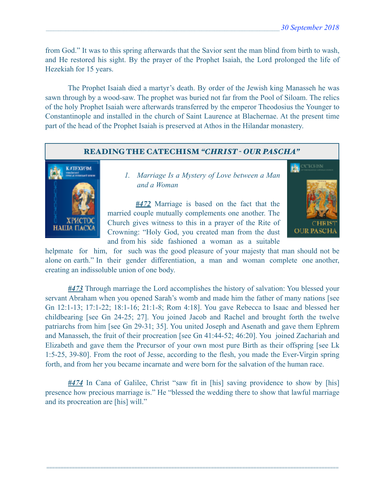from God." It was to this spring afterwards that the Savior sent the man blind from birth to wash, and He restored his sight. By the prayer of the Prophet Isaiah, the Lord prolonged the life of Hezekiah for 15 years.

The Prophet Isaiah died a martyr's death. By order of the Jewish king Manasseh he was sawn through by a wood-saw. The prophet was buried not far from the Pool of Siloam. The relics of the holy Prophet Isaiah were afterwards transferred by the emperor Theodosius the Younger to Constantinople and installed in the church of Saint Laurence at Blachernae. At the present time part of the head of the Prophet Isaiah is preserved at Athos in the Hilandar monastery.

#### READING THE CATECHISM *"CHRIST - OUR PASCHA"*



*1. Marriage Is a Mystery of Love between a Man and a Woman* 

 *#472* Marriage is based on the fact that the married couple mutually complements one another. The Church gives witness to this in a prayer of the Rite of Crowning: "Holy God, you created man from the dust and from his side fashioned a woman as a suitable



helpmate for him, for such was the good pleasure of your majesty that man should not be alone on earth." In their gender differentiation, a man and woman complete one another, creating an indissoluble union of one body.

*#473* Through marriage the Lord accomplishes the history of salvation: You blessed your servant Abraham when you opened Sarah's womb and made him the father of many nations [see Gn 12:1-13; 17:1-22; 18:1-16; 21:1-8; Rom 4:18]. You gave Rebecca to Isaac and blessed her childbearing [see Gn 24-25; 27]. You joined Jacob and Rachel and brought forth the twelve patriarchs from him [see Gn 29-31; 35]. You united Joseph and Asenath and gave them Ephrem and Manasseh, the fruit of their procreation [see Gn 41:44-52; 46:20]. You joined Zachariah and Elizabeth and gave them the Precursor of your own most pure Birth as their offspring [see Lk 1:5-25, 39-80]. From the root of Jesse, according to the flesh, you made the Ever-Virgin spring forth, and from her you became incarnate and were born for the salvation of the human race.

*#474* In Cana of Galilee, Christ "saw fit in [his] saving providence to show by [his] presence how precious marriage is." He "blessed the wedding there to show that lawful marriage and its procreation are [his] will."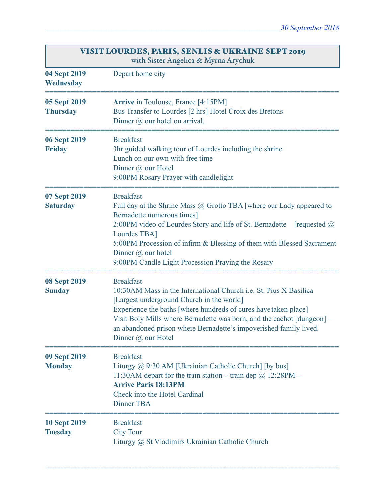| VISIT LOURDES, PARIS, SENLIS & UKRAINE SEPT 2019<br>with Sister Angelica & Myrna Arychuk |                                                                                                                                                                                                                                                                                                                                                                                   |  |  |
|------------------------------------------------------------------------------------------|-----------------------------------------------------------------------------------------------------------------------------------------------------------------------------------------------------------------------------------------------------------------------------------------------------------------------------------------------------------------------------------|--|--|
| 04 Sept 2019<br>Wednesday                                                                | Depart home city                                                                                                                                                                                                                                                                                                                                                                  |  |  |
| 05 Sept 2019<br><b>Thursday</b>                                                          | <b>Arrive</b> in Toulouse, France [4:15PM]<br>Bus Transfer to Lourdes [2 hrs] Hotel Croix des Bretons<br>Dinner $\omega$ our hotel on arrival.                                                                                                                                                                                                                                    |  |  |
| 06 Sept 2019<br><b>Friday</b>                                                            | <b>Breakfast</b><br>3hr guided walking tour of Lourdes including the shrine<br>Lunch on our own with free time<br>Dinner @ our Hotel<br>9:00PM Rosary Prayer with candlelight                                                                                                                                                                                                     |  |  |
| 07 Sept 2019<br><b>Saturday</b>                                                          | <b>Breakfast</b><br>Full day at the Shrine Mass @ Grotto TBA [where our Lady appeared to<br>Bernadette numerous times]<br>2:00PM video of Lourdes Story and life of St. Bernadette<br>requested $(a)$<br>Lourdes TBA]<br>5:00PM Procession of infirm & Blessing of them with Blessed Sacrament<br>Dinner $(a)$ our hotel<br>9:00PM Candle Light Procession Praying the Rosary     |  |  |
| <b>08 Sept 2019</b><br><b>Sunday</b>                                                     | <b>Breakfast</b><br>10:30AM Mass in the International Church <i>i.e.</i> St. Pius X Basilica<br>[Largest underground Church in the world]<br>Experience the baths [where hundreds of cures have taken place]<br>Visit Boly Mills where Bernadette was born, and the cachot [dungeon] -<br>an abandoned prison where Bernadette's impoverished family lived.<br>Dinner @ our Hotel |  |  |
| 09 Sept 2019<br><b>Monday</b>                                                            | <b>Breakfast</b><br>Liturgy @ 9:30 AM [Ukrainian Catholic Church] [by bus]<br>11:30AM depart for the train station – train dep $\omega$ 12:28PM –<br><b>Arrive Paris 18:13PM</b><br>Check into the Hotel Cardinal<br><b>Dinner TBA</b>                                                                                                                                            |  |  |
| <b>10 Sept 2019</b><br><b>Tuesday</b>                                                    | <b>Breakfast</b><br><b>City Tour</b><br>Liturgy @ St Vladimirs Ukrainian Catholic Church                                                                                                                                                                                                                                                                                          |  |  |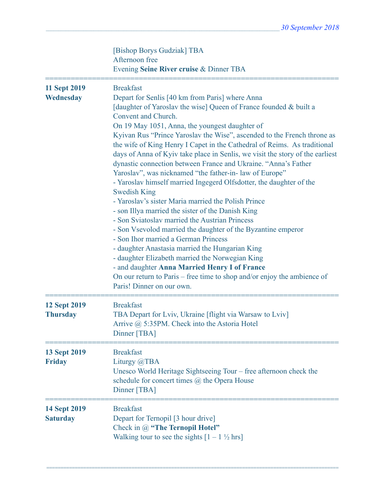|                                        | [Bishop Borys Gudziak] TBA<br>Afternoon free<br>Evening Seine River cruise & Dinner TBA<br><b>Breakfast</b><br>Depart for Senlis [40 km from Paris] where Anna<br>[daughter of Yaroslav the wise] Queen of France founded & built a<br>Convent and Church.<br>On 19 May 1051, Anna, the youngest daughter of<br>Kyivan Rus "Prince Yaroslav the Wise", ascended to the French throne as<br>the wife of King Henry I Capet in the Cathedral of Reims. As traditional<br>days of Anna of Kyiv take place in Senlis, we visit the story of the earliest<br>dynastic connection between France and Ukraine. "Anna's Father<br>Yaroslav", was nicknamed "the father-in- law of Europe"<br>- Yaroslav himself married Ingegerd Olfsdotter, the daughter of the<br><b>Swedish King</b><br>- Yaroslav's sister Maria married the Polish Prince<br>- son Illya married the sister of the Danish King<br>- Son Sviatoslav married the Austrian Princess<br>- Son Vsevolod married the daughter of the Byzantine emperor<br>- Son Ihor married a German Princess<br>- daughter Anastasia married the Hungarian King<br>- daughter Elizabeth married the Norwegian King<br>- and daughter Anna Married Henry I of France<br>On our return to Paris – free time to shop and/or enjoy the ambience of<br>Paris! Dinner on our own. |  |  |  |
|----------------------------------------|----------------------------------------------------------------------------------------------------------------------------------------------------------------------------------------------------------------------------------------------------------------------------------------------------------------------------------------------------------------------------------------------------------------------------------------------------------------------------------------------------------------------------------------------------------------------------------------------------------------------------------------------------------------------------------------------------------------------------------------------------------------------------------------------------------------------------------------------------------------------------------------------------------------------------------------------------------------------------------------------------------------------------------------------------------------------------------------------------------------------------------------------------------------------------------------------------------------------------------------------------------------------------------------------------------------------|--|--|--|
| 11 Sept 2019<br>Wednesday              |                                                                                                                                                                                                                                                                                                                                                                                                                                                                                                                                                                                                                                                                                                                                                                                                                                                                                                                                                                                                                                                                                                                                                                                                                                                                                                                      |  |  |  |
| <b>12 Sept 2019</b><br><b>Thursday</b> | <b>Breakfast</b><br>TBA Depart for Lviv, Ukraine [flight via Warsaw to Lviv]<br>Arrive $\omega$ 5:35PM. Check into the Astoria Hotel<br>Dinner [TBA]                                                                                                                                                                                                                                                                                                                                                                                                                                                                                                                                                                                                                                                                                                                                                                                                                                                                                                                                                                                                                                                                                                                                                                 |  |  |  |
| <b>13 Sept 2019</b><br><b>Friday</b>   | <b>Breakfast</b><br>Liturgy @TBA<br>Unesco World Heritage Sightseeing Tour – free afternoon check the<br>schedule for concert times $\omega$ the Opera House<br>Dinner [TBA]                                                                                                                                                                                                                                                                                                                                                                                                                                                                                                                                                                                                                                                                                                                                                                                                                                                                                                                                                                                                                                                                                                                                         |  |  |  |
| <b>14 Sept 2019</b><br><b>Saturday</b> | <b>Breakfast</b><br>Depart for Ternopil [3 hour drive]<br>Check in @ "The Ternopil Hotel"<br>Walking tour to see the sights $[1 - 1 \frac{1}{2} \text{ hrs}]$                                                                                                                                                                                                                                                                                                                                                                                                                                                                                                                                                                                                                                                                                                                                                                                                                                                                                                                                                                                                                                                                                                                                                        |  |  |  |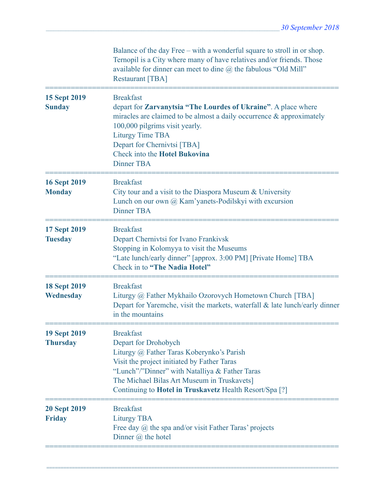|                                        | Balance of the day Free – with a wonderful square to stroll in or shop.<br>Ternopil is a City where many of have relatives and/or friends. Those<br>available for dinner can meet to dine $(a)$ the fabulous "Old Mill"<br><b>Restaurant [TBA]</b>                                                                     |  |  |  |
|----------------------------------------|------------------------------------------------------------------------------------------------------------------------------------------------------------------------------------------------------------------------------------------------------------------------------------------------------------------------|--|--|--|
| <b>15 Sept 2019</b><br><b>Sunday</b>   | <b>Breakfast</b><br>depart for Zarvanytsia "The Lourdes of Ukraine". A place where<br>miracles are claimed to be almost a daily occurrence $\&$ approximately<br>100,000 pilgrims visit yearly.<br><b>Liturgy Time TBA</b><br>Depart for Chernivtsi [TBA]<br><b>Check into the Hotel Bukovina</b><br><b>Dinner TBA</b> |  |  |  |
| <b>16 Sept 2019</b><br><b>Monday</b>   | <b>Breakfast</b><br>City tour and a visit to the Diaspora Museum & University<br>Lunch on our own @ Kam'yanets-Podilskyi with excursion<br><b>Dinner TBA</b>                                                                                                                                                           |  |  |  |
| <b>17 Sept 2019</b><br><b>Tuesday</b>  | <b>Breakfast</b><br>Depart Chernivtsi for Ivano Frankivsk<br>Stopping in Kolomyya to visit the Museums<br>"Late lunch/early dinner" [approx. 3:00 PM] [Private Home] TBA<br><b>Check in to "The Nadia Hotel"</b>                                                                                                       |  |  |  |
| <b>18 Sept 2019</b><br>Wednesday       | <b>Breakfast</b><br>Liturgy @ Father Mykhailo Ozorovych Hometown Church [TBA]<br>Depart for Yaremche, visit the markets, waterfall & late lunch/early dinner<br>in the mountains                                                                                                                                       |  |  |  |
| <b>19 Sept 2019</b><br><b>Thursday</b> | <b>Breakfast</b><br>Depart for Drohobych<br>Liturgy @ Father Taras Koberynko's Parish<br>Visit the project initiated by Father Taras<br>"Lunch"/"Dinner" with Natalliya & Father Taras<br>The Michael Bilas Art Museum in Truskavets]<br>Continuing to Hotel in Truskavetz Health Resort/Spa [?]                       |  |  |  |
| <b>20 Sept 2019</b><br><b>Friday</b>   | <b>Breakfast</b><br><b>Liturgy TBA</b><br>Free day $\omega$ the spa and/or visit Father Taras' projects<br>Dinner $(a)$ the hotel                                                                                                                                                                                      |  |  |  |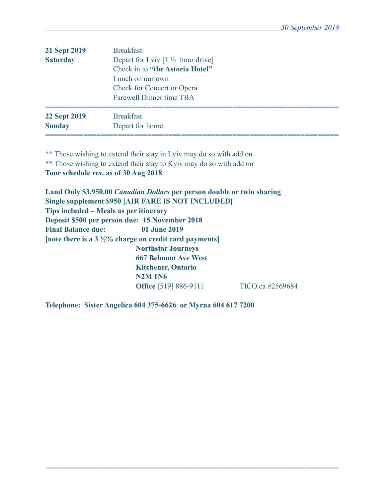| 21 Sept 2019    | <b>Breakfast</b>                             |  |  |  |  |
|-----------------|----------------------------------------------|--|--|--|--|
| <b>Saturday</b> | Depart for Lviv $[1 \frac{1}{2}$ hour drive] |  |  |  |  |
|                 | Check in to "the Astoria Hotel"              |  |  |  |  |
|                 | Lunch on our own                             |  |  |  |  |
|                 | <b>Check for Concert or Opera</b>            |  |  |  |  |
|                 | <b>Farewell Dinner time TBA</b>              |  |  |  |  |
| 22 Sept 2019    | <b>Breakfast</b>                             |  |  |  |  |
| <b>Sunday</b>   | Depart for home                              |  |  |  |  |
|                 |                                              |  |  |  |  |

\*\* Those wishing to extend their stay in Lviv may do so with add on \*\* Those wishing to extend their stay to Kyiv may do so with add on **Tour schedule rev. as of 30 Aug 2018** 

**Land Only \$3,950.00** *Canadian Dollars* **per person double or twin sharing Single supplement \$950 [AIR FARE IS NOT INCLUDED] Tips included – Meals as per itinerary Deposit \$500 per person due: 15 November 2018 Final Balance due: 01 June 2019 [note there is a 3 ½% charge on credit card payments] Northstar Journeys 667 Belmont Ave West Kitchener, Ontario N2M 1N6 Office** [519] 886-9111 TICO.ca #2569684

=======================================================================================================

**Telephone: Sister Angelica 604 375-6626 or Myrna 604 617 7200**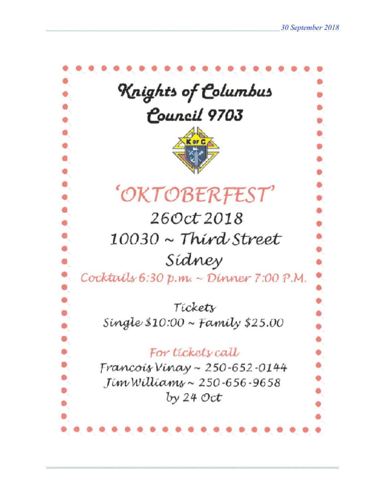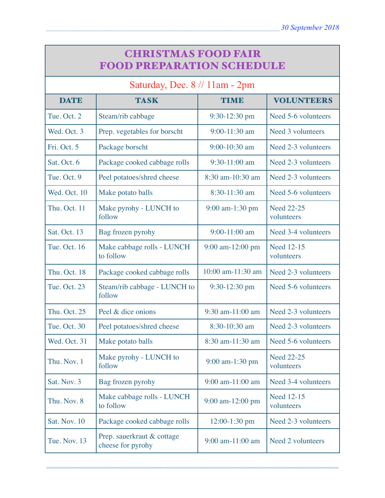# CHRISTMAS FOOD FAIR FOOD PREPARATION SCHEDULE

# Saturday, Dec. 8 // 11am - 2pm

| <b>DATE</b>         | <b>TASK</b>                                     | <b>TIME</b>       | <b>VOLUNTEERS</b>               |
|---------------------|-------------------------------------------------|-------------------|---------------------------------|
| Tue. Oct. 2         | Steam/rib cabbage                               | 9:30-12:30 pm     | Need 5-6 volunteers             |
| Wed. Oct. 3         | Prep. vegetables for borscht                    | 9:00-11:30 am     | Need 3 volunteers               |
| Fri. Oct. 5         | Package borscht                                 | 9:00-10:30 am     | Need 2-3 volunteers             |
| Sat. Oct. 6         | Package cooked cabbage rolls                    | 9:30-11:00 am     | Need 2-3 volunteers             |
| Tue. Oct. 9         | Peel potatoes/shred cheese                      | 8:30 am-10:30 am  | Need 2-3 volunteers             |
| Wed. Oct. 10        | Make potato balls                               | 8:30-11:30 am     | Need 5-6 volunteers             |
| Thu. Oct. 11        | Make pyrohy - LUNCH to<br>follow                | 9:00 am-1:30 pm   | <b>Need 22-25</b><br>volunteers |
| Sat. Oct. 13        | Bag frozen pyrohy                               | 9:00-11:00 am     | Need 3-4 volunteers             |
| Tue. Oct. 16        | Make cabbage rolls - LUNCH<br>to follow         | 9:00 am-12:00 pm  | <b>Need 12-15</b><br>volunteers |
| Thu. Oct. 18        | Package cooked cabbage rolls                    | 10:00 am-11:30 am | Need 2-3 volunteers             |
| Tue. Oct. 23        | Steam/rib cabbage - LUNCH to<br>follow          | 9:30-12:30 pm     | Need 5-6 volunteers             |
| Thu. Oct. 25        | Peel & dice onions                              | 9:30 am-11:00 am  | Need 2-3 volunteers             |
| Tue. Oct. 30        | Peel potatoes/shred cheese                      | 8:30-10:30 am     | Need 2-3 volunteers             |
| Wed. Oct. 31        | Make potato balls                               | 8:30 am-11:30 am  | Need 5-6 volunteers             |
| Thu. Nov. 1         | Make pyrohy - LUNCH to<br>follow                | 9:00 am-1:30 pm   | <b>Need 22-25</b><br>volunteers |
| Sat. Nov. 3         | Bag frozen pyrohy                               | 9:00 am-11:00 am  | Need 3-4 volunteers             |
| Thu. Nov. 8         | Make cabbage rolls - LUNCH<br>to follow         | 9:00 am-12:00 pm  | Need 12-15<br>volunteers        |
| Sat. Nov. 10        | Package cooked cabbage rolls                    | 12:00-1:30 pm     | Need 2-3 volunteers             |
| <b>Tue. Nov. 13</b> | Prep. sauerkraut & cottage<br>cheese for pyrohy | 9:00 am-11:00 am  | Need 2 volunteers               |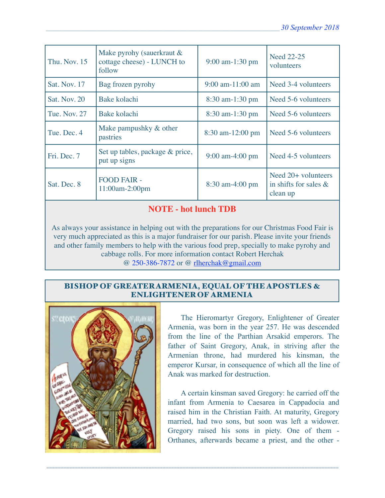| <b>Thu. Nov. 15</b> | Make pyrohy (sauerkraut &<br>cottage cheese) - LUNCH to<br>follow | 9:00 am-1:30 pm    | <b>Need 22-25</b><br>volunteers                             |
|---------------------|-------------------------------------------------------------------|--------------------|-------------------------------------------------------------|
| Sat. Nov. 17        | Bag frozen pyrohy                                                 | 9:00 am-11:00 am   | Need 3-4 volunteers                                         |
| Sat. Nov. 20        | Bake kolachi                                                      | $8:30$ am-1:30 pm  | Need 5-6 volunteers                                         |
| <b>Tue. Nov. 27</b> | Bake kolachi                                                      | $8:30$ am-1:30 pm  | Need 5-6 volunteers                                         |
| Tue. Dec. 4         | Make pampushky & other<br>pastries                                | $8:30$ am-12:00 pm | Need 5-6 volunteers                                         |
| Fri. Dec. 7         | Set up tables, package & price,<br>put up signs                   | $9:00$ am-4:00 pm  | Need 4-5 volunteers                                         |
| Sat. Dec. 8         | <b>FOOD FAIR -</b><br>11:00am-2:00pm                              | $8:30$ am-4:00 pm  | Need 20+ volunteers<br>in shifts for sales $\&$<br>clean up |

**NOTE - hot lunch TDB**

As always your assistance in helping out with the preparations for our Christmas Food Fair is very much appreciated as this is a major fundraiser for our parish. Please invite your friends and other family members to help with the various food prep, specially to make pyrohy and cabbage rolls. For more information contact Robert Herchak @ 250-386-7872 or @ [rlherchak@gmail.com](mailto:rlherchak@gmail.com)

## BISHOP OF GREATER ARMENIA, EQUAL OF THE APOSTLES & ENLIGHTENER OF ARMENIA

=======================================================================================================



The Hieromartyr Gregory, Enlightener of Greater Armenia, was born in the year 257. He was descended from the line of the Parthian Arsakid emperors. The father of Saint Gregory, Anak, in striving after the Armenian throne, had murdered his kinsman, the emperor Kursar, in consequence of which all the line of Anak was marked for destruction.

A certain kinsman saved Gregory: he carried off the infant from Armenia to Caesarea in Cappadocia and raised him in the Christian Faith. At maturity, Gregory married, had two sons, but soon was left a widower. Gregory raised his sons in piety. One of them - Orthanes, afterwards became a priest, and the other -